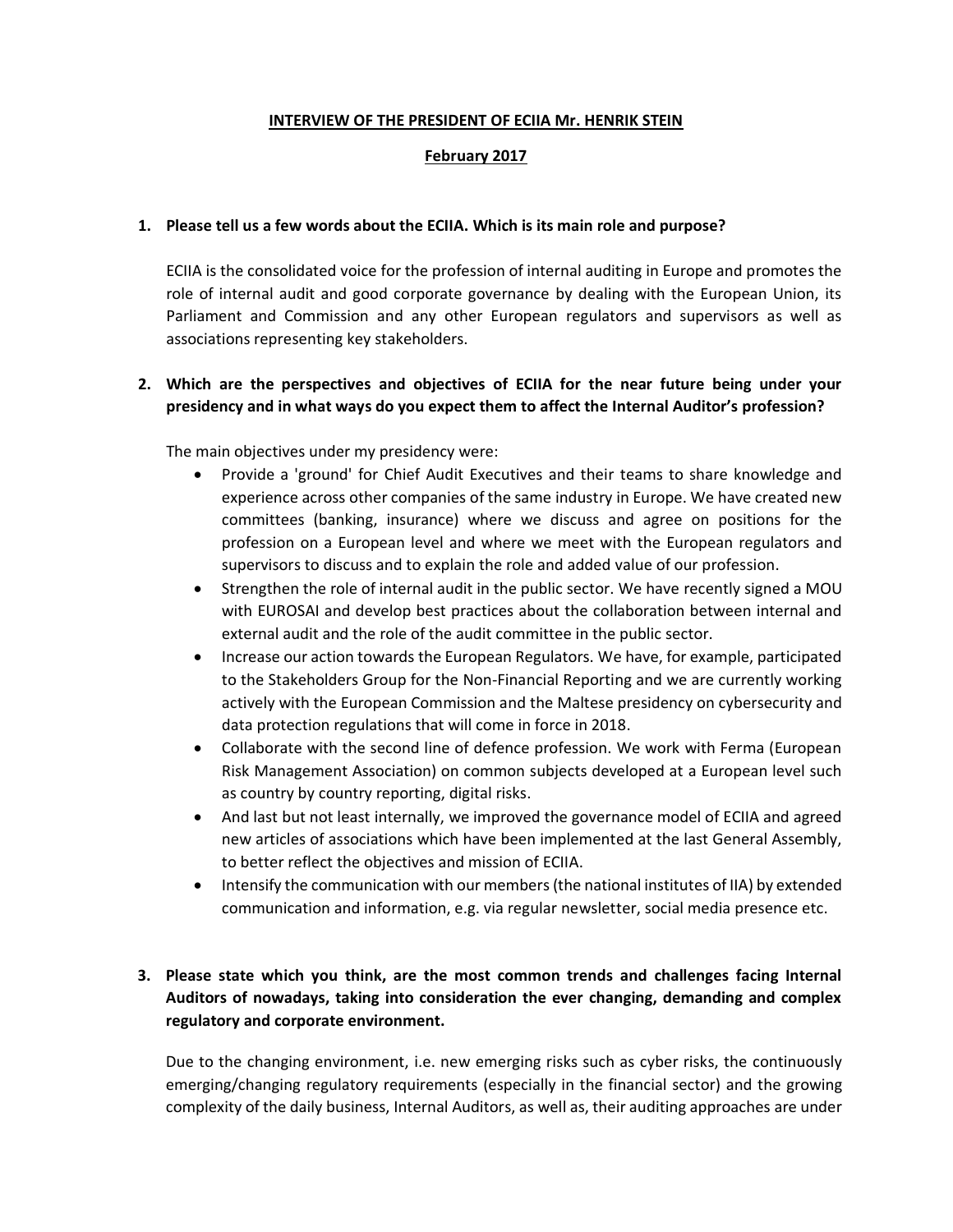#### **INTERVIEW OF THE PRESIDENT OF ECIIA Mr. HENRIK STEIN**

### **February 2017**

#### **1. Please tell us a few words about the ECIIA. Which is its main role and purpose?**

ECIIA is the consolidated voice for the profession of internal auditing in Europe and promotes the role of internal audit and good corporate governance by dealing with the European Union, its Parliament and Commission and any other European regulators and supervisors as well as associations representing key stakeholders.

## **2. Which are the perspectives and objectives of ECIIA for the near future being under your presidency and in what ways do you expect them to affect the Internal Auditor's profession?**

The main objectives under my presidency were:

- Provide a 'ground' for Chief Audit Executives and their teams to share knowledge and experience across other companies of the same industry in Europe. We have created new committees (banking, insurance) where we discuss and agree on positions for the profession on a European level and where we meet with the European regulators and supervisors to discuss and to explain the role and added value of our profession.
- Strengthen the role of internal audit in the public sector. We have recently signed a MOU with EUROSAI and develop best practices about the collaboration between internal and external audit and the role of the audit committee in the public sector.
- Increase our action towards the European Regulators. We have, for example, participated to the Stakeholders Group for the Non-Financial Reporting and we are currently working actively with the European Commission and the Maltese presidency on cybersecurity and data protection regulations that will come in force in 2018.
- Collaborate with the second line of defence profession. We work with Ferma (European Risk Management Association) on common subjects developed at a European level such as country by country reporting, digital risks.
- And last but not least internally, we improved the governance model of ECIIA and agreed new articles of associations which have been implemented at the last General Assembly, to better reflect the objectives and mission of ECIIA.
- Intensify the communication with our members (the national institutes of IIA) by extended communication and information, e.g. via regular newsletter, social media presence etc.

## **3. Please state which you think, are the most common trends and challenges facing Internal Auditors of nowadays, taking into consideration the ever changing, demanding and complex regulatory and corporate environment.**

Due to the changing environment, i.e. new emerging risks such as cyber risks, the continuously emerging/changing regulatory requirements (especially in the financial sector) and the growing complexity of the daily business, Internal Auditors, as well as, their auditing approaches are under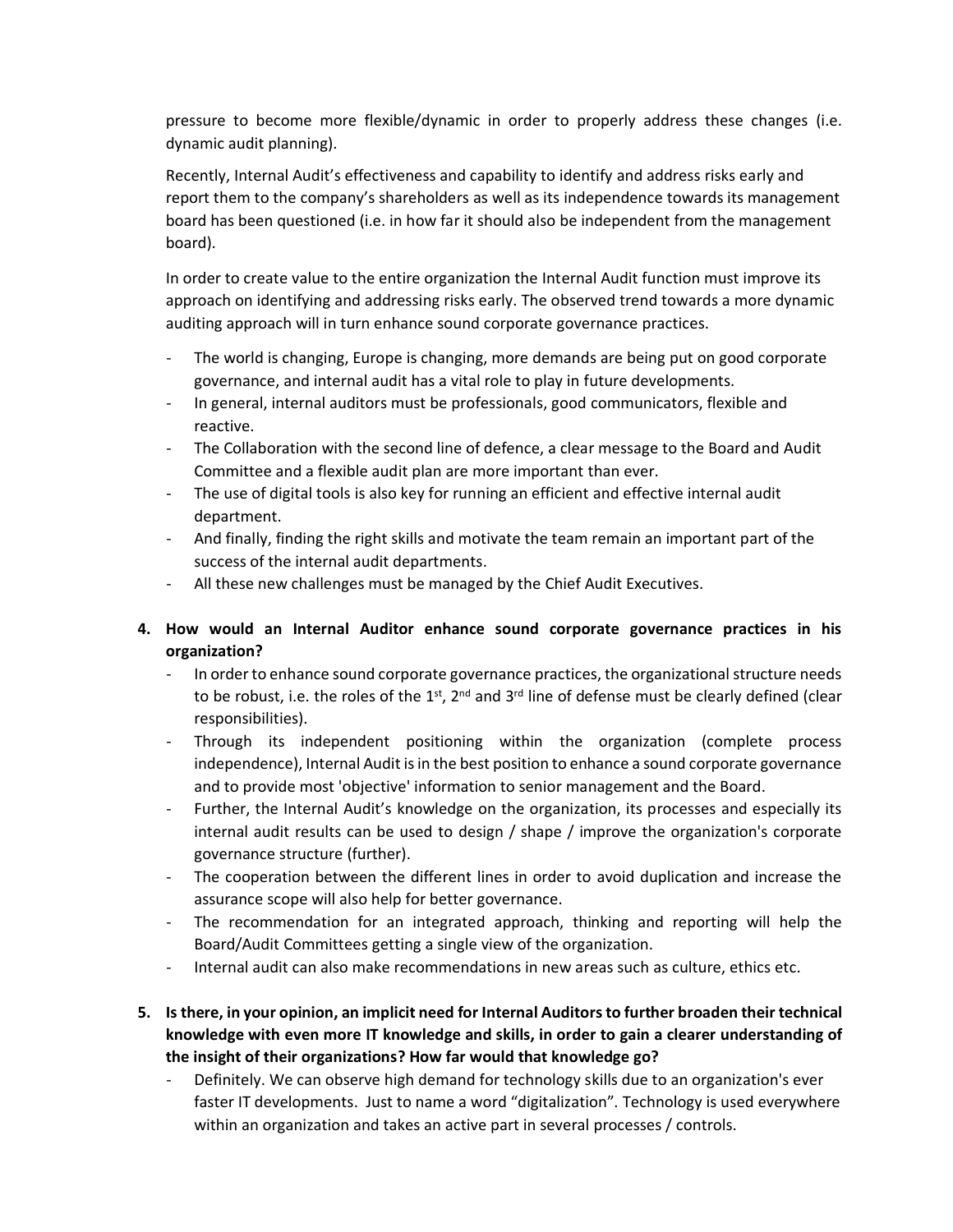pressure to become more flexible/dynamic in order to properly address these changes (i.e. dynamic audit planning).

Recently, Internal Audit's effectiveness and capability to identify and address risks early and report them to the company's shareholders as well as its independence towards its management board has been questioned (i.e. in how far it should also be independent from the management board).

In order to create value to the entire organization the Internal Audit function must improve its approach on identifying and addressing risks early. The observed trend towards a more dynamic auditing approach will in turn enhance sound corporate governance practices.

- The world is changing, Europe is changing, more demands are being put on good corporate governance, and internal audit has a vital role to play in future developments.
- In general, internal auditors must be professionals, good communicators, flexible and reactive.
- The Collaboration with the second line of defence, a clear message to the Board and Audit Committee and a flexible audit plan are more important than ever.
- The use of digital tools is also key for running an efficient and effective internal audit department.
- And finally, finding the right skills and motivate the team remain an important part of the success of the internal audit departments.
- All these new challenges must be managed by the Chief Audit Executives.
- **4. How would an Internal Auditor enhance sound corporate governance practices in his organization?**
	- In order to enhance sound corporate governance practices, the organizational structure needs to be robust, i.e. the roles of the  $1<sup>st</sup>$ ,  $2<sup>nd</sup>$  and  $3<sup>rd</sup>$  line of defense must be clearly defined (clear responsibilities).
	- Through its independent positioning within the organization (complete process independence), Internal Audit is in the best position to enhance a sound corporate governance and to provide most 'objective' information to senior management and the Board.
	- Further, the Internal Audit's knowledge on the organization, its processes and especially its internal audit results can be used to design / shape / improve the organization's corporate governance structure (further).
	- The cooperation between the different lines in order to avoid duplication and increase the assurance scope will also help for better governance.
	- The recommendation for an integrated approach, thinking and reporting will help the Board/Audit Committees getting a single view of the organization.
	- Internal audit can also make recommendations in new areas such as culture, ethics etc.
- **5. Is there, in your opinion, an implicit need for Internal Auditors to further broaden their technical knowledge with even more IT knowledge and skills, in order to gain a clearer understanding of the insight of their organizations? How far would that knowledge go?**
	- Definitely. We can observe high demand for technology skills due to an organization's ever faster IT developments. Just to name a word "digitalization". Technology is used everywhere within an organization and takes an active part in several processes / controls.